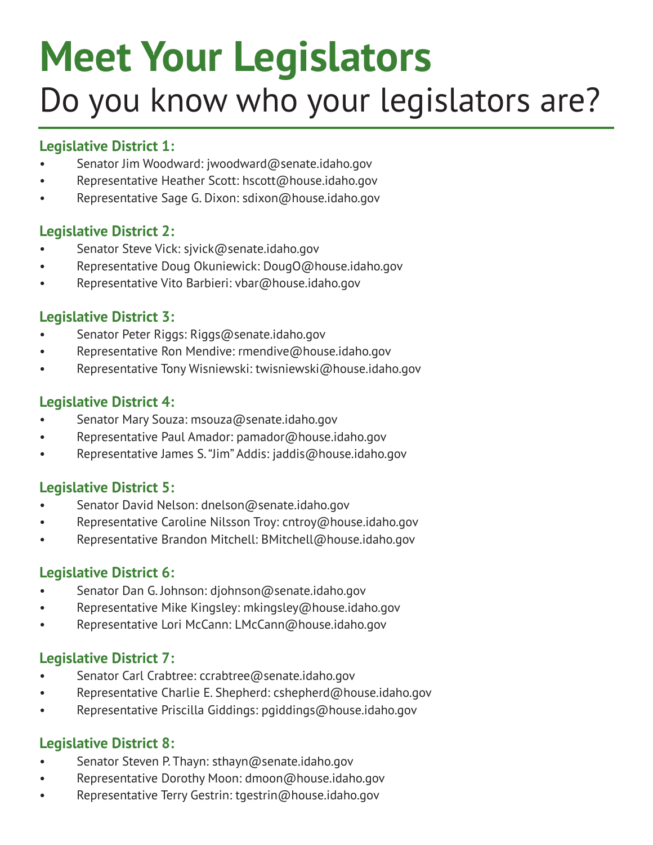# **Meet Your Legislators** Do you know who your legislators are?

# **Legislative District 1:**

- Senator Jim Woodward: jwoodward@senate.idaho.gov
- Representative Heather Scott: hscott@house.idaho.gov
- Representative Sage G. Dixon: sdixon@house.idaho.gov

## **Legislative District 2:**

- Senator Steve Vick: sjvick@senate.idaho.gov
- Representative Doug Okuniewick: DougO@house.idaho.gov
- Representative Vito Barbieri: vbar@house.idaho.gov

## **Legislative District 3:**

- Senator Peter Riggs: Riggs@senate.idaho.gov
- Representative Ron Mendive: rmendive@house.idaho.gov
- Representative Tony Wisniewski: twisniewski@house.idaho.gov

## **Legislative District 4:**

- Senator Mary Souza: msouza@senate.idaho.gov
- Representative Paul Amador: pamador@house.idaho.gov
- Representative James S. "Jim" Addis: jaddis@house.idaho.gov

# **Legislative District 5:**

- Senator David Nelson: dnelson@senate.idaho.gov
- Representative Caroline Nilsson Troy: cntroy@house.idaho.gov
- Representative Brandon Mitchell: BMitchell@house.idaho.gov

# **Legislative District 6:**

- Senator Dan G. Johnson: djohnson@senate.idaho.gov
- Representative Mike Kingsley: mkingsley@house.idaho.gov
- Representative Lori McCann: LMcCann@house.idaho.gov

# **Legislative District 7:**

- Senator Carl Crabtree: ccrabtree@senate.idaho.gov
- Representative Charlie E. Shepherd: cshepherd@house.idaho.gov
- Representative Priscilla Giddings: pgiddings@house.idaho.gov

# **Legislative District 8:**

- Senator Steven P. Thayn: sthayn@senate.idaho.gov
- Representative Dorothy Moon: dmoon@house.idaho.gov
- Representative Terry Gestrin: tgestrin@house.idaho.gov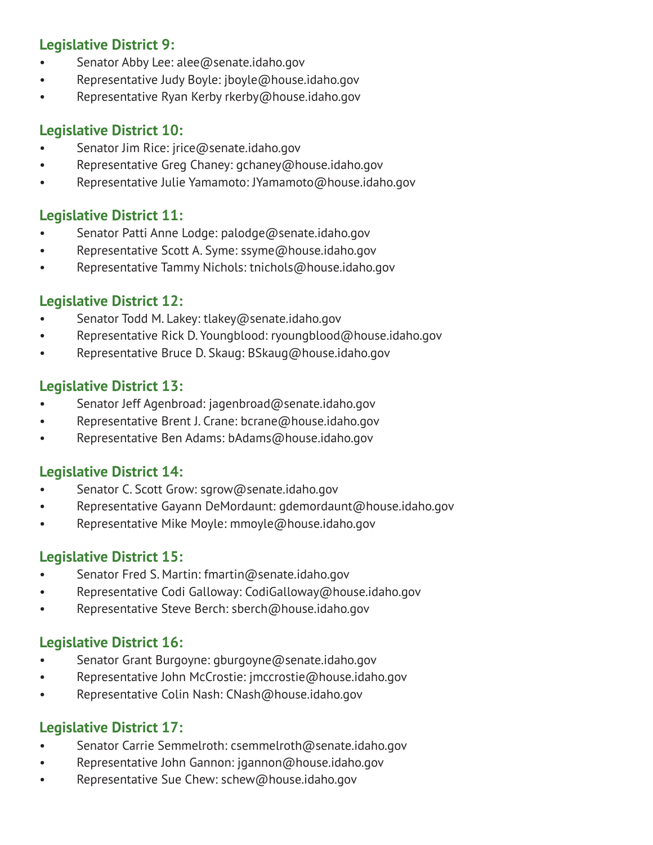# **Legislative District 9:**

- Senator Abby Lee: alee@senate.idaho.gov
- Representative Judy Boyle: jboyle@house.idaho.gov
- Representative Ryan Kerby rkerby@house.idaho.gov

## **Legislative District 10:**

- Senator Jim Rice: jrice@senate.idaho.gov
- Representative Greg Chaney: gchaney@house.idaho.gov
- Representative Julie Yamamoto: JYamamoto@house.idaho.gov

#### **Legislative District 11:**

- Senator Patti Anne Lodge: palodge@senate.idaho.gov
- Representative Scott A. Syme: ssyme@house.idaho.gov
- Representative Tammy Nichols: tnichols@house.idaho.gov

## **Legislative District 12:**

- Senator Todd M. Lakey: tlakey@senate.idaho.gov
- Representative Rick D. Youngblood: ryoungblood@house.idaho.gov
- Representative Bruce D. Skaug: BSkaug@house.idaho.gov

## **Legislative District 13:**

- Senator Jeff Agenbroad: jagenbroad@senate.idaho.gov
- Representative Brent J. Crane: bcrane@house.idaho.gov
- Representative Ben Adams: bAdams@house.idaho.gov

#### **Legislative District 14:**

- Senator C. Scott Grow: sgrow@senate.idaho.gov
- Representative Gayann DeMordaunt: gdemordaunt@house.idaho.gov
- Representative Mike Moyle: mmoyle@house.idaho.gov

# **Legislative District 15:**

- Senator Fred S. Martin: fmartin@senate.idaho.gov
- Representative Codi Galloway: CodiGalloway@house.idaho.gov
- Representative Steve Berch: sberch@house.idaho.gov

#### **Legislative District 16:**

- Senator Grant Burgoyne: gburgoyne@senate.idaho.gov
- Representative John McCrostie: jmccrostie@house.idaho.gov
- Representative Colin Nash: CNash@house.idaho.gov

#### **Legislative District 17:**

- Senator Carrie Semmelroth: csemmelroth@senate.idaho.gov
- Representative John Gannon: jgannon@house.idaho.gov
- Representative Sue Chew: schew@house.idaho.gov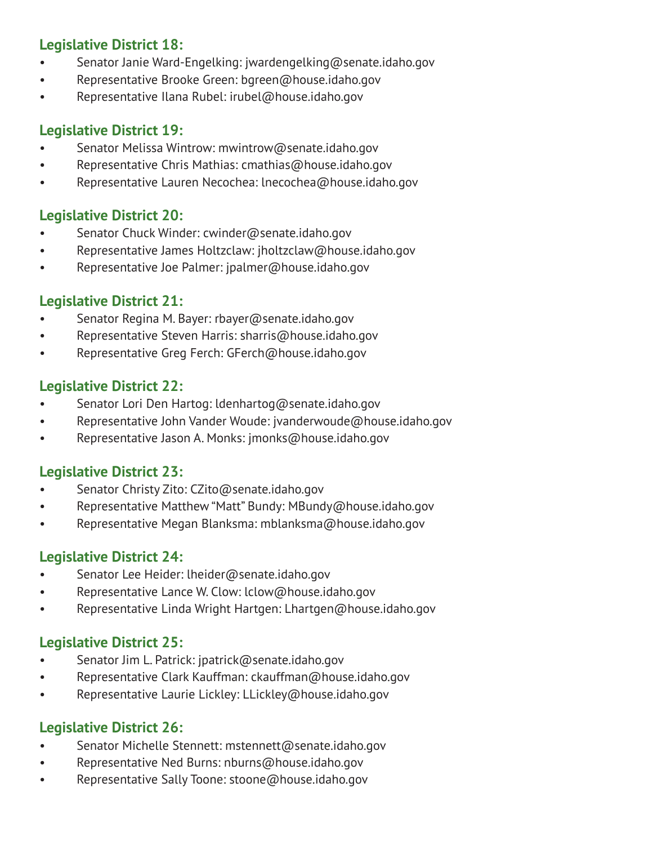# **Legislative District 18:**

- Senator Janie Ward-Engelking: jwardengelking@senate.idaho.gov
- Representative Brooke Green: bgreen@house.idaho.gov
- Representative Ilana Rubel: irubel@house.idaho.gov

#### **Legislative District 19:**

- Senator Melissa Wintrow: mwintrow@senate.idaho.gov
- Representative Chris Mathias: cmathias@house.idaho.gov
- Representative Lauren Necochea: lnecochea@house.idaho.gov

#### **Legislative District 20:**

- Senator Chuck Winder: cwinder@senate.idaho.gov
- Representative James Holtzclaw: jholtzclaw@house.idaho.gov
- Representative Joe Palmer: jpalmer@house.idaho.gov

#### **Legislative District 21:**

- Senator Regina M. Bayer: rbayer@senate.idaho.gov
- Representative Steven Harris: sharris@house.idaho.gov
- Representative Greg Ferch: GFerch@house.idaho.gov

#### **Legislative District 22:**

- Senator Lori Den Hartog: ldenhartog@senate.idaho.gov
- Representative John Vander Woude: jvanderwoude@house.idaho.gov
- Representative Jason A. Monks: jmonks@house.idaho.gov

#### **Legislative District 23:**

- Senator Christy Zito: CZito@senate.idaho.gov
- Representative Matthew "Matt" Bundy: MBundy@house.idaho.gov
- Representative Megan Blanksma: mblanksma@house.idaho.gov

#### **Legislative District 24:**

- Senator Lee Heider: lheider@senate.idaho.gov
- Representative Lance W. Clow: lclow@house.idaho.gov
- Representative Linda Wright Hartgen: Lhartgen@house.idaho.gov

#### **Legislative District 25:**

- Senator Jim L. Patrick: jpatrick@senate.idaho.gov
- Representative Clark Kauffman: ckauffman@house.idaho.gov
- Representative Laurie Lickley: LLickley@house.idaho.gov

#### **Legislative District 26:**

- Senator Michelle Stennett: mstennett@senate.idaho.gov
- Representative Ned Burns: nburns@house.idaho.gov
- Representative Sally Toone: stoone@house.idaho.gov